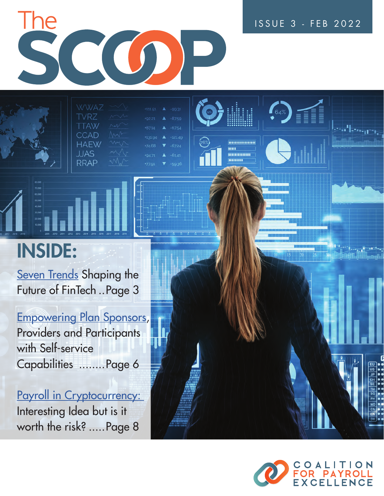

| WWAZ W      |        | $+111.51$ $\triangle$ $-99.31$ |                     |
|-------------|--------|--------------------------------|---------------------|
| <b>TVRZ</b> | M      | $+92.21$ $\triangle$ $-87.59$  |                     |
| <b>TTAW</b> | $\sim$ | $+87.14$                       | $-67.54$            |
| <b>CCAD</b> | MM-    | +131.94                        | $\triangle$ -121.49 |
| HAEW        | m      | $+74.68$                       | $-67.24$            |
| JJAS        | MV     | $+94.71$                       | $\triangle$ -61.41  |
| <b>RRAP</b> | MN     | $+77.91$                       | $7 - 59.36$         |
|             |        |                                |                     |

## INSIDE:

**[Seven Trends](#page-2-0) Shaping the** Future of FinTech ..Page 3

[Empowering Plan Sponsors](#page-5-0), Providers and Participants with Self-service Capabilities ........Page 6

Payroll in Cryptocurrency: Interesting Idea but is it worth the risk? .....Page 8



mn ..............



ISSUE 3 - FEB 2022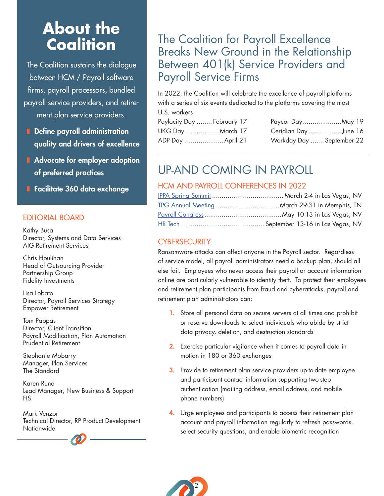## **About the Coalition**

The Coalition sustains the dialogue between HCM / Payroll software firms, payroll processors, bundled payroll service providers, and retirement plan service providers.

- Define payroll administration quality and drivers of excellence
- Advocate for employer adoption of preferred practices
- Facilitate 360 data exchange

#### EDITORIAL BOARD

Kathy Busa Director, Systems and Data Services AIG Retirement Services

Chris Houlihan Head of Outsourcing Provider Partnership Group Fidelity Investments

Lisa Lobato Director, Payroll Services Strategy Empower Retirement

Tom Pappas Director, Client Transition, Payroll Modification, Plan Automation Prudential Retirement

Stephanie Mobarry Manager, Plan Services The Standard

Karen Rund Lead Manager, New Business & Support FIS

Mark Venzor Technical Director, RP Product Development **Nationwide** 

#### The Coalition for Payroll Excellence Breaks New Ground in the Relationship Between 401(k) Service Providers and Payroll Service Firms

In 2022, the Coalition will celebrate the excellence of payroll platforms with a series of six events dedicated to the platforms covering the most U.S. workers

| Paylocity Day  February 17 |                           |
|----------------------------|---------------------------|
| UKG DayMarch 17            | Ceridian Day June 16      |
| ADP Day April 21           | Workday Day  September 22 |

### UP-AND COMING IN PAYROLL

#### HCM AND PAYROLL CONFERENCES IN 2022

#### **CYBERSECURITY**

Ransomware attacks can affect anyone in the Payroll sector. Regardless of service model, all payroll administrators need a backup plan, should all else fail. Employees who never access their payroll or account information online are particularly vulnerable to identity theft. To protect their employees and retirement plan participants from fraud and cyberattacks, payroll and retirement plan administrators can:

- 1. Store all personal data on secure servers at all times and prohibit or reserve downloads to select individuals who abide by strict data privacy, deletion, and destruction standards
- 2. Exercise particular vigilance when it comes to payroll data in motion in 180 or 360 exchanges
- 3.Provide to retirement plan service providers up-to-date employee and participant contact information supporting two-step authentication (mailing address, email address, and mobile phone numbers)
- 4.Urge employees and participants to access their retirement plan account and payroll information regularly to refresh passwords, select security questions, and enable biometric recognition

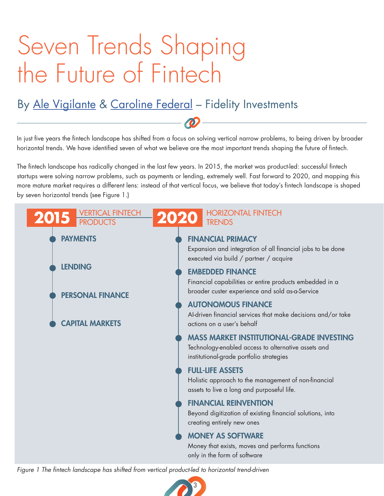# <span id="page-2-0"></span>Seven Trends Shaping the Future of Fintech

## By [Ale Vigilante](https://www.linkedin.com/in/alessandrovigilante/) & [Caroline Federal](https://www.linkedin.com/in/caroline-federal/) - Fidelity Investments

In just five years the fintech landscape has shifted from a focus on solving vertical narrow problems, to being driven by broader horizontal trends. We have identified seven of what we believe are the most important trends shaping the future of fintech.

The fintech landscape has radically changed in the last few years. In 2015, the market was product-led: successful fintech startups were solving narrow problems, such as payments or lending, extremely well. Fast forward to 2020, and mapping this more mature market requires a different lens: instead of that vertical focus, we believe that today's fintech landscape is shaped by seven horizontal trends (see Figure 1.)



*Figure 1 The fintech landscape has shifted from vertical product-led to horizontal trend-driven*

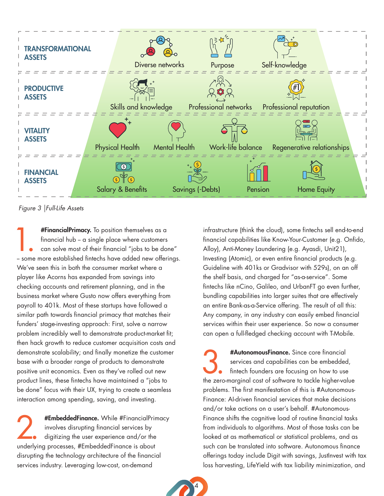

*Figure 3 |Full-Life Assets*

**#FinancialPrimacy.** To position themselves as a financial hub – a single place where customers can solve most of their financial "jobs to be done" – some more established fintechs have added new offerings. #FinancialPrimacy. To position themselves as a financial  $h$ ub – a single place where customers can solve most of their financial "jobs to be done" We've seen this in both the consumer market where a player like Acorns has expanded from savings into checking accounts and retirement planning, and in the business market where Gusto now offers everything from payroll to 401k. Most of these startups have followed a similar path towards financial primacy that matches their funders' stage-investing approach: First, solve a narrow problem incredibly well to demonstrate product-market fit; then hack growth to reduce customer acquisition costs and demonstrate scalability; and finally monetize the customer base with a broader range of products to demonstrate positive unit economics. Even as they've rolled out new product lines, these fintechs have maintained a "jobs to be done" focus with their UX, trying to create a seamless interaction among spending, saving, and investing.

**2. #EmbeddedFinance.** While #FinancialPrimacy<br>involves disrupting financial services by<br>digitizing the user experience and/or the<br>underlying presences #EmbeddedFinance is about involves disrupting financial services by digitizing the user experience and/or the underlying processes, #EmbeddedFinance is about disrupting the technology architecture of the financial services industry. Leveraging low-cost, on-demand

infrastructure (think the cloud), some fintechs sell end-to-end financial capabilities like Know-Your-Customer (e.g. Onfido, Alloy), Anti-Money Laundering (e.g. Ayasdi, Unit21), Investing (Atomic), or even entire financial products (e.g. Guideline with 401ks or Gradvisor with 529s), on an off the shelf basis, and charged for "as-a-service". Some fintechs like nCino, Galileo, and UrbanFT go even further, bundling capabilities into larger suites that are effectively an entire Bank-as-a-Service offering. The result of all this: Any company, in any industry can easily embed financial services within their user experience. So now a consumer can open a full-fledged checking account with T-Mobile.

#AutonomousFinance. Since core financial<br>services and capabilities can be embedded<br>finitech founders are focusing on how to use<br>the gase marginal and of a fruite to table higherway services and capabilities can be embedded, fintech founders are focusing on how to use the zero-marginal cost of software to tackle higher-value problems. The first manifestation of this is #Autonomous-Finance: AI-driven financial services that make decisions and/or take actions on a user's behalf. #Autonomous-Finance shifts the cognitive load of routine financial tasks from individuals to algorithms. Most of those tasks can be looked at as mathematical or statistical problems, and as such can be translated into software. Autonomous finance offerings today include Digit with savings, JustInvest with tax loss harvesting, LifeYield with tax liability minimization, and

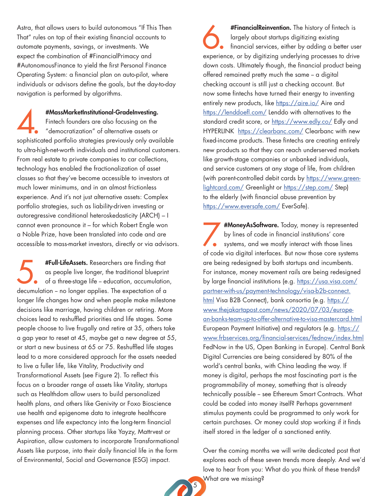Astra, that allows users to build autonomous "If This Then That" rules on top of their existing financial accounts to automate payments, savings, or investments. We expect the combination of #FinancialPrimacy and #AutonomousFinance to yield the first Personal Finance Operating System: a financial plan on auto-pilot, where individuals or advisors define the goals, but the day-to-day navigation is performed by algorithms.

#MassMarketInstitutional-GradeInvesting.<br>
Fintech founders are also focusing on the<br>
"democratization" of alternative assets or<br>
sophisticated portfolio strategies previously only available #MassMarketInstitutional-GradeInvesting. Fintech founders are also focusing on the "democratization" of alternative assets or to ultra-high-net-worth individuals and institutional customers. From real estate to private companies to car collections, technology has enabled the fractionalization of asset classes so that they've become accessible to investors at much lower minimums, and in an almost frictionless experience. And it's not just alternative assets: Complex portfolio strategies, such as liability-driven investing or autoregressive conditional heteroskedasticity (ARCH) – I cannot even pronounce it – for which Robert Engle won a Noble Prize, have been translated into code and are accessible to mass-market investors, directly or via advisors.

**#Full-LifeAssets.** Researchers are finding that as people live longer, the traditional blueprint of a three-stage life – education, accumulation decumulation – no longer applies. The expectation of a #Full-LifeAssets. Researchers are finding that as people live longer, the traditional blueprint of a three-stage life - education, accumulation, longer life changes how and when people make milestone decisions like marriage, having children or retiring. More choices lead to reshuffled priorities and life stages. Some people choose to live frugally and retire at 35, others take a gap year to reset at 45, maybe get a new degree at 55, or start a new business at 65 or 75. Reshuffled life stages lead to a more considered approach for the assets needed to live a fuller life, like Vitality, Productivity and Transformational Assets (see Figure 2). To reflect this focus on a broader range of assets like Vitality, startups such as Healthdom allow users to build personalized health plans, and others like Genivity or Foxo Bioscience use health and epigenome data to integrate healthcare expenses and life expectancy into the long-term financial planning process. Other startups like Yayzy, Mattrvest or Aspiration, allow customers to incorporate Transformational Assets like purpose, into their daily financial life in the form of Environmental, Social and Governance (ESG) impact.

**#FinancialReinvention.** The history of fintech is<br>largely about startups digitizing existing<br>financial services, either by adding a better user<br>experience, or by digitizing underlying processes to drive #FinancialReinvention. The history of fintech is largely about startups digitizing existing financial services, either by adding a better user down costs. Ultimately though, the financial product being offered remained pretty much the same -- a digital checking account is still just a checking account. But now some fintechs have turned their energy to inventing entirely new products, like<https://aire.io/>Aire and <https://lenddoefl.com/> Lenddo with alternatives to the standard credit score, or<https://www.edly.co/>Edly and HYPERLINK <https://clearbanc.com/>Clearbanc with new fixed-income products. These fintechs are creating entirely new products so that they can reach underserved markets like growth-stage companies or unbanked individuals, and service customers at any stage of life, from children (with parent-controlled debit cards by [https://www.green](https://www.greenlightcard.com/)[lightcard.com/](https://www.greenlightcard.com/) Greenlight or <https://step.com/> Step) to the elderly (with financial abuse prevention by <https://www.eversafe.com/> EverSafe).

#MoneyAsSoftware. Today, money is represented<br>by lines of code in financial institutions' core<br>systems, and we mostly interact with those lines<br>of code via digital interfaces. But now those core systems #MoneyAsSoftware. Today, money is represented by lines of code in financial institutions' core systems, and we mostly interact with those lines are being redesigned by both startups and incumbents. For instance, money movement rails are being redesigned by large financial institutions (e.g. [https://usa.visa.com/](https://usa.visa.com/partner-with-us/payment-technology/visa-b2b-connect.html) [partner-with-us/payment-technology/visa-b2b-connect.](https://usa.visa.com/partner-with-us/payment-technology/visa-b2b-connect.html) [html](https://usa.visa.com/partner-with-us/payment-technology/visa-b2b-connect.html) Visa B2B Connect), bank consortia (e.g. [https://](https://www.thejakartapost.com/news/2020/07/03/european-banks-team-up-to-offer-alternative-to-visa-mastercard.html) [www.thejakartapost.com/news/2020/07/03/europe](https://www.thejakartapost.com/news/2020/07/03/european-banks-team-up-to-offer-alternative-to-visa-mastercard.html)[an-banks-team-up-to-offer-alternative-to-visa-mastercard.html](https://www.thejakartapost.com/news/2020/07/03/european-banks-team-up-to-offer-alternative-to-visa-mastercard.html) European Payment Initiative) and regulators (e.g. [https://](https://www.frbservices.org/financial-services/fednow/index.html) [www.frbservices.org/financial-services/fednow/index.html](https://www.frbservices.org/financial-services/fednow/index.html) FedNow in the US, Open Banking in Europe). Central Bank Digital Currencies are being considered by 80% of the world's central banks, with China leading the way. If money is digital, perhaps the most fascinating part is the programmability of money, something that is already technically possible - see Ethereum Smart Contracts. What could be coded into money itself? Perhaps government stimulus payments could be programmed to only work for certain purchases. Or money could stop working if it finds itself stored in the ledger of a sanctioned entity.

Over the coming months we will write dedicated post that explores each of these seven trends more deeply. And we'd love to hear from you: What do you think of these trends? What are we missing?

5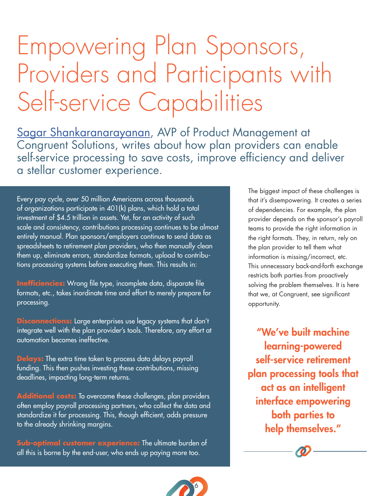## <span id="page-5-0"></span>Empowering Plan Sponsors, Providers and Participants with Self-service Capabilities

[Sagar Shankaranarayanan,](https://www.linkedin.com/in/sshankaranarayanan/) AVP of Product Management at Congruent Solutions, writes about how plan providers can enable self-service processing to save costs, improve efficiency and deliver a stellar customer experience.

6

Every pay cycle, over 50 million Americans across thousands of organizations participate in 401(k) plans, which hold a total investment of \$4.5 trillion in assets. Yet, for an activity of such scale and consistency, contributions processing continues to be almost entirely manual. Plan sponsors/employers continue to send data as spreadsheets to retirement plan providers, who then manually clean them up, eliminate errors, standardize formats, upload to contributions processing systems before executing them. This results in:

**Inefficiencies:** Wrong file type, incomplete data, disparate file formats, etc., takes inordinate time and effort to merely prepare for processing.

**Disconnections:** Large enterprises use legacy systems that don't integrate well with the plan provider's tools. Therefore, any effort at automation becomes ineffective.

**Delays:** The extra time taken to process data delays payroll funding. This then pushes investing these contributions, missing deadlines, impacting long-term returns.

**Additional costs:** To overcome these challenges, plan providers often employ payroll processing partners, who collect the data and standardize it for processing. This, though efficient, adds pressure to the already shrinking margins.

**Sub-optimal customer experience:** The ultimate burden of all this is borne by the end-user, who ends up paying more too.

The biggest impact of these challenges is that it's disempowering. It creates a series of dependencies. For example, the plan provider depends on the sponsor's payroll teams to provide the right information in the right formats. They, in return, rely on the plan provider to tell them what information is missing/incorrect, etc. This unnecessary back-and-forth exchange restricts both parties from proactively solving the problem themselves. It is here that we, at Congruent, see significant opportunity.

"We've built machine learning-powered self-service retirement plan processing tools that act as an intelligent interface empowering both parties to help themselves."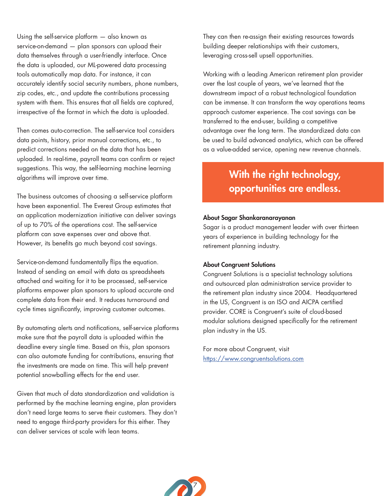Using the self-service platform — also known as service-on-demand — plan sponsors can upload their data themselves through a user-friendly interface. Once the data is uploaded, our ML-powered data processing tools automatically map data. For instance, it can accurately identify social security numbers, phone numbers, zip codes, etc., and update the contributions processing system with them. This ensures that all fields are captured, irrespective of the format in which the data is uploaded.

Then comes auto-correction. The self-service tool considers data points, history, prior manual corrections, etc., to predict corrections needed on the data that has been uploaded. In real-time, payroll teams can confirm or reject suggestions. This way, the self-learning machine learning algorithms will improve over time.

The business outcomes of choosing a self-service platform have been exponential. The Everest Group estimates that an application modernization initiative can deliver savings of up to 70% of the operations cost. The self-service platform can save expenses over and above that. However, its benefits go much beyond cost savings.

Service-on-demand fundamentally flips the equation. Instead of sending an email with data as spreadsheets attached and waiting for it to be processed, self-service platforms empower plan sponsors to upload accurate and complete data from their end. It reduces turnaround and cycle times significantly, improving customer outcomes.

By automating alerts and notifications, self-service platforms make sure that the payroll data is uploaded within the deadline every single time. Based on this, plan sponsors can also automate funding for contributions, ensuring that the investments are made on time. This will help prevent potential snowballing effects for the end user.

Given that much of data standardization and validation is performed by the machine learning engine, plan providers don't need large teams to serve their customers. They don't need to engage third-party providers for this either. They can deliver services at scale with lean teams.

They can then re-assign their existing resources towards building deeper relationships with their customers, leveraging cross-sell upsell opportunities.

Working with a leading American retirement plan provider over the last couple of years, we've learned that the downstream impact of a robust technological foundation can be immense. It can transform the way operations teams approach customer experience. The cost savings can be transferred to the end-user, building a competitive advantage over the long term. The standardized data can be used to build advanced analytics, which can be offered as a value-added service, opening new revenue channels.

#### With the right technology, opportunities are endless.

#### About Sagar Shankaranarayanan

Sagar is a product management leader with over thirteen years of experience in building technology for the retirement planning industry.

#### About Congruent Solutions

Congruent Solutions is a specialist technology solutions and outsourced plan administration service provider to the retirement plan industry since 2004. Headquartered in the US, Congruent is an ISO and AICPA certified provider. CORE is Congruent's suite of cloud-based modular solutions designed specifically for the retirement plan industry in the US.

For more about Congruent, visit <https://www.congruentsolutions.com>

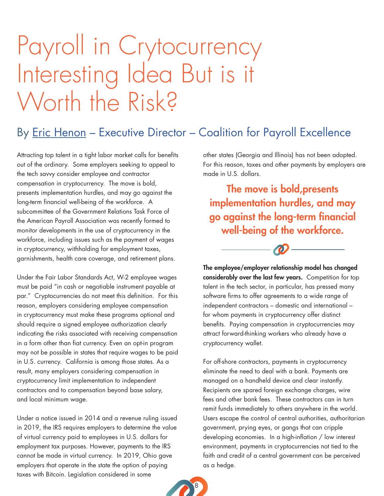## <span id="page-7-0"></span>Payroll in Crytocurrency Interesting Idea But is it Worth the Risk?

### By [Eric Henon](https://www.linkedin.com/in/erichenon1/) – Executive Director – Coalition for Payroll Excellence

Attracting top talent in a tight labor market calls for benefits out of the ordinary. Some employers seeking to appeal to the tech savvy consider employee and contractor compensation in cryptocurrency. The move is bold, presents implementation hurdles, and may go against the long-term financial well-being of the workforce. A subcommittee of the Government Relations Task Force of the American Payroll Association was recently formed to monitor developments in the use of cryptocurrency in the workforce, including issues such as the payment of wages in cryptocurrency, withholding for employment taxes, garnishments, health care coverage, and retirement plans.

Under the Fair Labor Standards Act, W-2 employee wages must be paid "in cash or negotiable instrument payable at par." Cryptocurrencies do not meet this definition. For this reason, employers considering employee compensation in cryptocurrency must make these programs optional and should require a signed employee authorization clearly indicating the risks associated with receiving compensation in a form other than fiat currency. Even an opt-in program may not be possible in states that require wages to be paid in U.S. currency. California is among those states. As a result, many employers considering compensation in cryptocurrency limit implementation to independent contractors and to compensation beyond base salary, and local minimum wage.

Under a notice issued in 2014 and a revenue ruling issued in 2019, the IRS requires employers to determine the value of virtual currency paid to employees in U.S. dollars for employment tax purposes. However, payments to the IRS cannot be made in virtual currency. In 2019, Ohio gave employers that operate in the state the option of paying taxes with Bitcoin. Legislation considered in some

other states (Georgia and Illinois) has not been adopted. For this reason, taxes and other payments by employers are made in U.S. dollars.

The move is bold,presents implementation hurdles, and may go against the long-term financial well-being of the workforce.



The employee/employer relationship model has changed considerably over the last few years. Competition for top talent in the tech sector, in particular, has pressed many software firms to offer agreements to a wide range of independent contractors – domestic and international – for whom payments in cryptocurrency offer distinct benefits. Paying compensation in cryptocurrencies may attract forward-thinking workers who already have a cryptocurrency wallet.

For off-shore contractors, payments in cryptocurrency eliminate the need to deal with a bank. Payments are managed on a handheld device and clear instantly. Recipients are spared foreign exchange charges, wire fees and other bank fees. These contractors can in turn remit funds immediately to others anywhere in the world. Users escape the control of central authorities, authoritarian government, prying eyes, or gangs that can cripple developing economies. In a high-inflation / low interest environment, payments in cryptocurrencies not tied to the faith and credit of a central government can be perceived as a hedge.

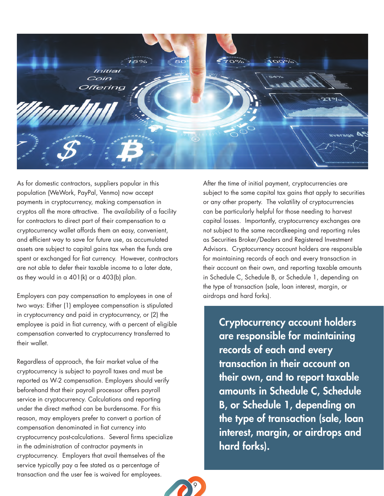

As for domestic contractors, suppliers popular in this population (WeWork, PayPal, Venmo) now accept payments in cryptocurrency, making compensation in cryptos all the more attractive. The availability of a facility for contractors to direct part of their compensation to a cryptocurrency wallet affords them an easy, convenient, and efficient way to save for future use, as accumulated assets are subject to capital gains tax when the funds are spent or exchanged for fiat currency. However, contractors are not able to defer their taxable income to a later date, as they would in a 401(k) or a 403(b) plan.

Employers can pay compensation to employees in one of two ways: Either (1) employee compensation is stipulated in cryptocurrency and paid in cryptocurrency, or (2) the employee is paid in fiat currency, with a percent of eligible compensation converted to cryptocurrency transferred to their wallet.

Regardless of approach, the fair market value of the cryptocurrency is subject to payroll taxes and must be reported as W-2 compensation. Employers should verify beforehand that their payroll processor offers payroll service in cryptocurrency. Calculations and reporting under the direct method can be burdensome. For this reason, may employers prefer to convert a portion of compensation denominated in fiat currency into cryptocurrency post-calculations. Several firms specialize in the administration of contractor payments in cryptocurrency. Employers that avail themselves of the service typically pay a fee stated as a percentage of transaction and the user fee is waived for employees.

After the time of initial payment, cryptocurrencies are subject to the same capital tax gains that apply to securities or any other property. The volatility of cryptocurrencies can be particularly helpful for those needing to harvest capital losses. Importantly, cryptocurrency exchanges are not subject to the same recordkeeping and reporting rules as Securities Broker/Dealers and Registered Investment Advisors. Cryptocurrency account holders are responsible for maintaining records of each and every transaction in their account on their own, and reporting taxable amounts in Schedule C, Schedule B, or Schedule 1, depending on the type of transaction (sale, loan interest, margin, or airdrops and hard forks).

Cryptocurrency account holders are responsible for maintaining records of each and every transaction in their account on their own, and to report taxable amounts in Schedule C, Schedule B, or Schedule 1, depending on the type of transaction (sale, loan interest, margin, or airdrops and hard forks).